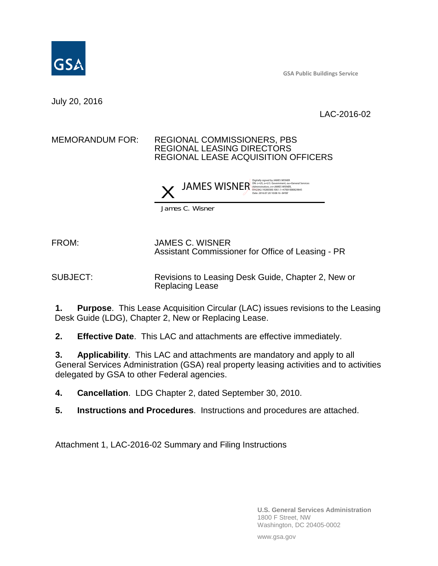

**GSA Public Buildings Service**

July 20, 2016

LAC-2016-02

## MEMORANDUM FOR: REGIONAL COMMISSIONERS, PBS REGIONAL LEASING DIRECTORS REGIONAL LEASE ACQUISITION OFFICERS



James C. Wisner

FROM: JAMES C. WISNER Assistant Commissioner for Office of Leasing - PR

SUBJECT: Revisions to Leasing Desk Guide, Chapter 2, New or Replacing Lease

**1. Purpose**. This Lease Acquisition Circular (LAC) issues revisions to the Leasing Desk Guide (LDG), Chapter 2, New or Replacing Lease.

**2. Effective Date**. This LAC and attachments are effective immediately.

**3. Applicability**. This LAC and attachments are mandatory and apply to all General Services Administration (GSA) real property leasing activities and to activities delegated by GSA to other Federal agencies.

**4. Cancellation**. LDG Chapter 2, dated September 30, 2010.

**5. Instructions and Procedures**. Instructions and procedures are attached.

Attachment 1, LAC-2016-02 Summary and Filing Instructions

**U.S. General Services Administration** 1800 F Street, NW Washington, DC 20405-0002

www.gsa.gov